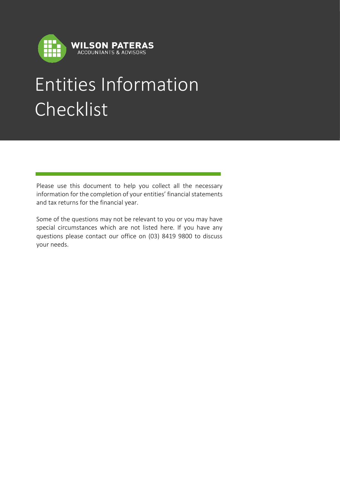

## Entities Information Checklist

Please use this document to help you collect all the necessary information for the completion of your entities' financial statements and tax returns for the financial year.

Some of the questions may not be relevant to you or you may have special circumstances which are not listed here. If you have any questions please contact our office on (03) 8419 9800 to discuss your needs.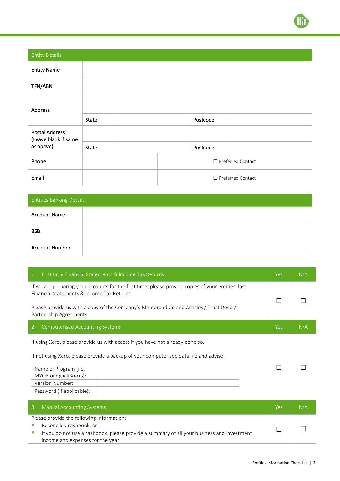

| <b>Entity Details</b>                         |              |                             |          |  |
|-----------------------------------------------|--------------|-----------------------------|----------|--|
| <b>Entity Name</b>                            |              |                             |          |  |
| TFN/ABN                                       |              |                             |          |  |
| <b>Address</b>                                |              |                             |          |  |
|                                               | <b>State</b> |                             | Postcode |  |
| <b>Postal Address</b><br>(Leave blank if same |              |                             |          |  |
| as above)                                     | <b>State</b> |                             | Postcode |  |
| Phone                                         |              | $\square$ Preferred Contact |          |  |
| Email                                         |              | $\Box$ Preferred Contact    |          |  |

| <b>Entities Banking Details</b> |  |
|---------------------------------|--|
| <b>Account Name</b>             |  |
| <b>BSB</b>                      |  |
| <b>Account Number</b>           |  |

| $\mathbf{1}$ .<br>First time Financial Statements & Income Tax Returns                                                                                                                                                                                                  | <b>Yes</b> | N/A |
|-------------------------------------------------------------------------------------------------------------------------------------------------------------------------------------------------------------------------------------------------------------------------|------------|-----|
| If we are preparing your accounts for the first time, please provide copies of your entities' last<br>Financial Statements & Income Tax Returns<br>Please provide us with a copy of the Company's Memorandum and Articles / Trust Deed /<br>Partnership Agreements      |            |     |
| <b>Computerised Accounting Systems</b><br>2.                                                                                                                                                                                                                            | <b>Yes</b> | N/A |
| If using Xero, please provide us with access if you have not already done so.<br>If not using Xero, please provide a backup of your computerised data file and advise:<br>Name of Program (i.e.<br>MYOB or QuickBooks):<br>Version Number:<br>Password (if applicable): |            |     |
| 3.<br><b>Manual Accounting Systems</b>                                                                                                                                                                                                                                  | Yes        | N/A |
| Please provide the following information:<br>Reconciled cashbook, or<br>If you do not use a cashbook, please provide a summary of all your business and investment<br>ш<br>income and expenses for the year                                                             |            |     |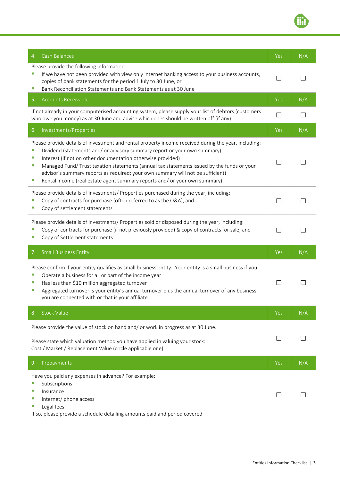| Cash Balances<br>4.                                                                                                                                                                                                                                                                                                                                                                                                                                                                                                                  | <b>Yes</b> | N/A |
|--------------------------------------------------------------------------------------------------------------------------------------------------------------------------------------------------------------------------------------------------------------------------------------------------------------------------------------------------------------------------------------------------------------------------------------------------------------------------------------------------------------------------------------|------------|-----|
| Please provide the following information:<br>If we have not been provided with view only internet banking access to your business accounts,<br>copies of bank statements for the period 1 July to 30 June, or<br>Bank Reconciliation Statements and Bank Statements as at 30 June<br>ш                                                                                                                                                                                                                                               |            |     |
| <b>Accounts Receivable</b><br>5.                                                                                                                                                                                                                                                                                                                                                                                                                                                                                                     | Yes        | N/A |
| If not already in your computerised accounting system, please supply your list of debtors (customers<br>who owe you money) as at 30 June and advise which ones should be written off (if any).                                                                                                                                                                                                                                                                                                                                       | $\Box$     | H   |
| Investments/Properties<br>6.                                                                                                                                                                                                                                                                                                                                                                                                                                                                                                         | Yes        | N/A |
| Please provide details of investment and rental property income received during the year, including:<br>Dividend (statements and/ or advisory summary report or your own summary)<br>ш<br>Interest (if not on other documentation otherwise provided)<br>u,<br>Managed Fund/Trust taxation statements (annual tax statements issued by the funds or your<br>ш<br>advisor's summary reports as required; your own summary will not be sufficient)<br>Rental income (real estate agent summary reports and/ or your own summary)<br>u, | $\perp$    |     |
| Please provide details of Investments/ Properties purchased during the year, including:<br>Copy of contracts for purchase (often referred to as the O&A), and<br>Copy of settlement statements                                                                                                                                                                                                                                                                                                                                       | $\perp$    |     |
| Please provide details of Investments/ Properties sold or disposed during the year, including:<br>Copy of contracts for purchase (if not previously provided) & copy of contracts for sale, and<br>Copy of Settlement statements<br>×.                                                                                                                                                                                                                                                                                               | ΙI         |     |
| <b>Small Business Entity</b><br>7.                                                                                                                                                                                                                                                                                                                                                                                                                                                                                                   | <b>Yes</b> | N/A |
| Please confirm if your entity qualifies as small business entity. Your entity is a small business if you:<br>Operate a business for all or part of the income year<br>ш<br>Has less than \$10 million aggregated turnover<br>ш<br>Aggregated turnover is your entity's annual turnover plus the annual turnover of any business<br>×.<br>you are connected with or that is your affiliate                                                                                                                                            | П          |     |
| <b>Stock Value</b><br>8.                                                                                                                                                                                                                                                                                                                                                                                                                                                                                                             | Yes        | N/A |
| Please provide the value of stock on hand and/ or work in progress as at 30 June.                                                                                                                                                                                                                                                                                                                                                                                                                                                    |            |     |
| Please state which valuation method you have applied in valuing your stock:<br>Cost / Market / Replacement Value (circle applicable one)                                                                                                                                                                                                                                                                                                                                                                                             | $\perp$    |     |
| 9.<br>Prepayments                                                                                                                                                                                                                                                                                                                                                                                                                                                                                                                    | Yes        | N/A |
| Have you paid any expenses in advance? For example:<br>Subscriptions<br>ш<br>Insurance<br>U.<br>Internet/ phone access<br>×.<br>Legal fees<br>×.<br>If so, please provide a schedule detailing amounts paid and period covered                                                                                                                                                                                                                                                                                                       | $\Box$     |     |

 $\textcolor{red}{\textcircled{\tiny{1}}}\ \blacksquare$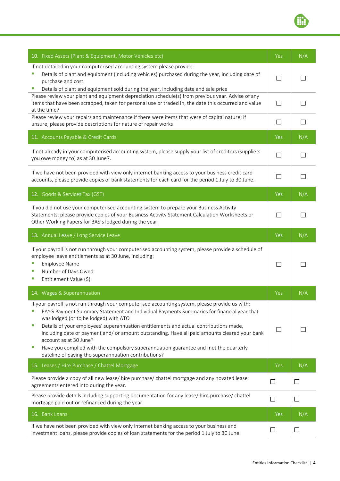| 10. Fixed Assets (Plant & Equipment, Motor Vehicles etc)                                                                                                                                                                                                                                                                                                                                                                                                                                                                                                                                                           | <b>Yes</b> | N/A          |
|--------------------------------------------------------------------------------------------------------------------------------------------------------------------------------------------------------------------------------------------------------------------------------------------------------------------------------------------------------------------------------------------------------------------------------------------------------------------------------------------------------------------------------------------------------------------------------------------------------------------|------------|--------------|
| If not detailed in your computerised accounting system please provide:<br>Details of plant and equipment (including vehicles) purchased during the year, including date of<br>purchase and cost<br>U.<br>Details of plant and equipment sold during the year, including date and sale price                                                                                                                                                                                                                                                                                                                        |            |              |
| Please review your plant and equipment depreciation schedule(s) from previous year. Advise of any<br>items that have been scrapped, taken for personal use or traded in, the date this occurred and value<br>at the time?                                                                                                                                                                                                                                                                                                                                                                                          | $\Box$     |              |
| Please review your repairs and maintenance if there were items that were of capital nature; if<br>unsure, please provide descriptions for nature of repair works                                                                                                                                                                                                                                                                                                                                                                                                                                                   | □          | $\mathsf{L}$ |
| 11. Accounts Payable & Credit Cards                                                                                                                                                                                                                                                                                                                                                                                                                                                                                                                                                                                | Yes        | N/A          |
| If not already in your computerised accounting system, please supply your list of creditors (suppliers<br>you owe money to) as at 30 June7.                                                                                                                                                                                                                                                                                                                                                                                                                                                                        | $\Box$     |              |
| If we have not been provided with view only internet banking access to your business credit card<br>accounts, please provide copies of bank statements for each card for the period 1 July to 30 June.                                                                                                                                                                                                                                                                                                                                                                                                             | П          |              |
| 12. Goods & Services Tax (GST)                                                                                                                                                                                                                                                                                                                                                                                                                                                                                                                                                                                     | <b>Yes</b> | N/A          |
| If you did not use your computerised accounting system to prepare your Business Activity<br>Statements, please provide copies of your Business Activity Statement Calculation Worksheets or<br>Other Working Papers for BAS's lodged during the year.                                                                                                                                                                                                                                                                                                                                                              |            |              |
| 13. Annual Leave / Long Service Leave                                                                                                                                                                                                                                                                                                                                                                                                                                                                                                                                                                              | Yes        | N/A          |
| If your payroll is not run through your computerised accounting system, please provide a schedule of<br>employee leave entitlements as at 30 June, including:<br><b>Employee Name</b><br>Number of Days Owed<br>ш<br>Entitlement Value (\$)<br>ш                                                                                                                                                                                                                                                                                                                                                                   | H          |              |
| 14. Wages & Superannuation                                                                                                                                                                                                                                                                                                                                                                                                                                                                                                                                                                                         | Yes        | N/A          |
| If your payroll is not run through your computerised accounting system, please provide us with:<br>PAYG Payment Summary Statement and Individual Payments Summaries for financial year that<br>was lodged (or to be lodged) with ATO<br>Details of your employees' superannuation entitlements and actual contributions made,<br>ш<br>including date of payment and/ or amount outstanding. Have all paid amounts cleared your bank<br>account as at 30 June?<br>Have you complied with the compulsory superannuation guarantee and met the quarterly<br>ш<br>dateline of paying the superannuation contributions? | П          |              |
| 15. Leases / Hire Purchase / Chattel Mortgage                                                                                                                                                                                                                                                                                                                                                                                                                                                                                                                                                                      | Yes        | N/A          |
| Please provide a copy of all new lease/ hire purchase/ chattel mortgage and any novated lease<br>agreements entered into during the year.                                                                                                                                                                                                                                                                                                                                                                                                                                                                          | □          | $\Box$       |
| Please provide details including supporting documentation for any lease/ hire purchase/ chattel<br>mortgage paid out or refinanced during the year.                                                                                                                                                                                                                                                                                                                                                                                                                                                                | $\Box$     | $\Box$       |
| 16. Bank Loans                                                                                                                                                                                                                                                                                                                                                                                                                                                                                                                                                                                                     | Yes        | N/A          |
| If we have not been provided with view only internet banking access to your business and<br>investment loans, please provide copies of loan statements for the period 1 July to 30 June.                                                                                                                                                                                                                                                                                                                                                                                                                           | $\Box$     | ⊔            |

 $\textcolor{red}{\widehat{\mathbb{H}}}$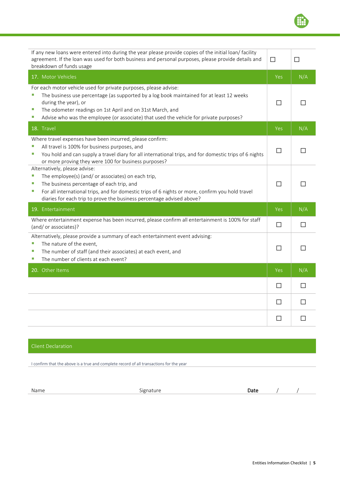| If any new loans were entered into during the year please provide copies of the initial loan/facility<br>agreement. If the loan was used for both business and personal purposes, please provide details and<br>breakdown of funds usage                                                                                                                | П          | П   |
|---------------------------------------------------------------------------------------------------------------------------------------------------------------------------------------------------------------------------------------------------------------------------------------------------------------------------------------------------------|------------|-----|
| 17. Motor Vehicles                                                                                                                                                                                                                                                                                                                                      | <b>Yes</b> | N/A |
| For each motor vehicle used for private purposes, please advise:<br>The business use percentage (as supported by a log book maintained for at least 12 weeks<br>during the year), or<br>u,<br>The odometer readings on 1st April and on 31st March, and<br>Advise who was the employee (or associate) that used the vehicle for private purposes?<br>u, |            |     |
| 18. Travel                                                                                                                                                                                                                                                                                                                                              | <b>Yes</b> | N/A |
| Where travel expenses have been incurred, please confirm:<br>All travel is 100% for business purposes, and<br>You hold and can supply a travel diary for all international trips, and for domestic trips of 6 nights<br>u,<br>or more proving they were 100 for business purposes?                                                                      | П          |     |
| Alternatively, please advise:<br>u,<br>The employee(s) (and/ or associates) on each trip,<br>u,<br>The business percentage of each trip, and<br>For all international trips, and for domestic trips of 6 nights or more, confirm you hold travel<br>п<br>diaries for each trip to prove the business percentage advised above?                          | П          |     |
| 19. Entertainment                                                                                                                                                                                                                                                                                                                                       | Yes        | N/A |
| Where entertainment expense has been incurred, please confirm all entertainment is 100% for staff<br>(and/ or associates)?                                                                                                                                                                                                                              | $\Box$     |     |
| Alternatively, please provide a summary of each entertainment event advising:<br>The nature of the event,<br>The number of staff (and their associates) at each event, and<br>×.<br>The number of clients at each event?<br>×.                                                                                                                          | П          | ΙI  |
| 20. Other Items                                                                                                                                                                                                                                                                                                                                         | Yes        | N/A |
|                                                                                                                                                                                                                                                                                                                                                         | П          | П   |
|                                                                                                                                                                                                                                                                                                                                                         | П          | П   |
|                                                                                                                                                                                                                                                                                                                                                         |            |     |

## Client Declaration

I confirm that the above is a true and complete record of all transactions for the year